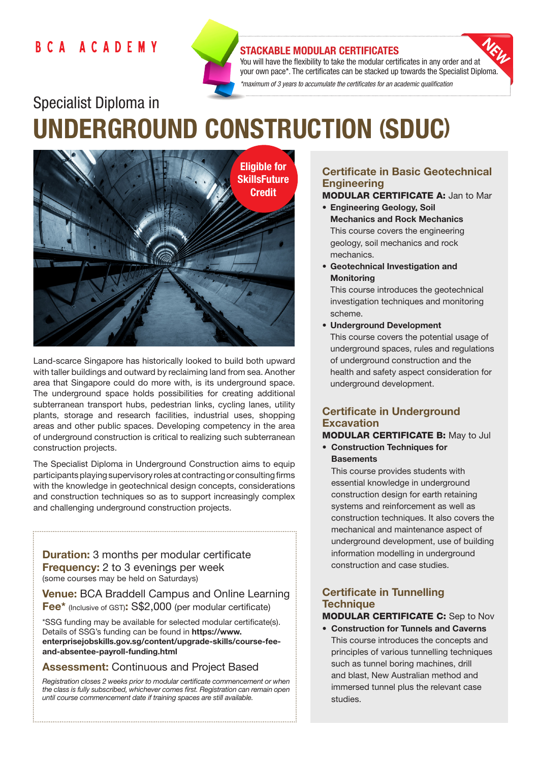## **BCA ACADEMY**



### STACKABLE MODULAR CERTIFICATES

You will have the flexibility to take the modular certificates in any order and at your own pace\*. The certificates can be stacked up towards the Specialist Diploma. *\*maximum of 3 years to accumulate the certificates for an academic qualification* 

# Specialist Diploma in UNDERGROUND CONSTRUCTION (SDUC)



Land-scarce Singapore has historically looked to build both upward with taller buildings and outward by reclaiming land from sea. Another area that Singapore could do more with, is its underground space. The underground space holds possibilities for creating additional subterranean transport hubs, pedestrian links, cycling lanes, utility plants, storage and research facilities, industrial uses, shopping areas and other public spaces. Developing competency in the area of underground construction is critical to realizing such subterranean construction projects.

The Specialist Diploma in Underground Construction aims to equip participants playing supervisory roles at contracting or consulting firms with the knowledge in geotechnical design concepts, considerations and construction techniques so as to support increasingly complex and challenging underground construction projects.

**Duration:** 3 months per modular certificate Frequency: 2 to 3 evenings per week (some courses may be held on Saturdays)

Venue: BCA Braddell Campus and Online Learning Fee\* (Inclusive of GST): S\$2,000 (per modular certificate)

\*SSG funding may be available for selected modular certificate(s). Details of SSG's funding can be found in https://www. enterprisejobskills.gov.sg/content/upgrade-skills/course-feeand-absentee-payroll-funding.html

## Assessment: Continuous and Project Based

*Registration closes 2 weeks prior to modular certificate commencement or when the class is fully subscribed, whichever comes first. Registration can remain open until course commencement date if training spaces are still available.*

## Certificate in Basic Geotechnical **Engineering**

MODULAR CERTIFICATE A: Jan to Mar

- Engineering Geology, Soil Mechanics and Rock Mechanics This course covers the engineering geology, soil mechanics and rock mechanics.
- Geotechnical Investigation and **Monitoring**

This course introduces the geotechnical investigation techniques and monitoring scheme.

• Underground Development

This course covers the potential usage of underground spaces, rules and regulations of underground construction and the health and safety aspect consideration for underground development.

## Certificate in Underground **Excavation**

## MODULAR CERTIFICATE B: May to Jul

• Construction Techniques for **Basements** 

This course provides students with essential knowledge in underground construction design for earth retaining systems and reinforcement as well as construction techniques. It also covers the mechanical and maintenance aspect of underground development, use of building information modelling in underground construction and case studies.

## Certificate in Tunnelling **Technique**

## MODULAR CERTIFICATE C: Sep to Nov

• Construction for Tunnels and Caverns This course introduces the concepts and principles of various tunnelling techniques such as tunnel boring machines, drill and blast, New Australian method and immersed tunnel plus the relevant case studies.